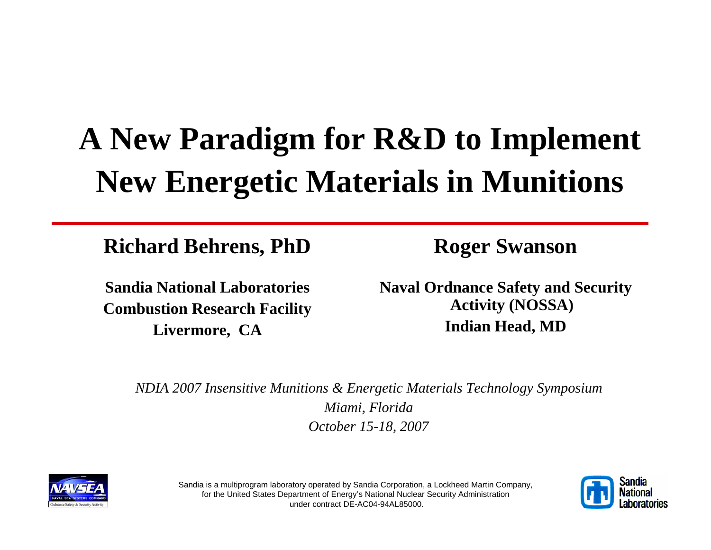# **A New Paradigm for R&D to Implement New Energetic Materials in Munitions**

**Richard Behrens, PhD**

**Sandia National LaboratoriesCombustion Research Facility Livermore, CA**

**Roger Swanson**

**Naval Ordnance Safety and Security Activity (NOSSA) Indian Head, MD**

*NDIA 2007 Insensitive Munitions & Energetic Materials Technology Symposium Miami, Florida October 15-18, 2007*





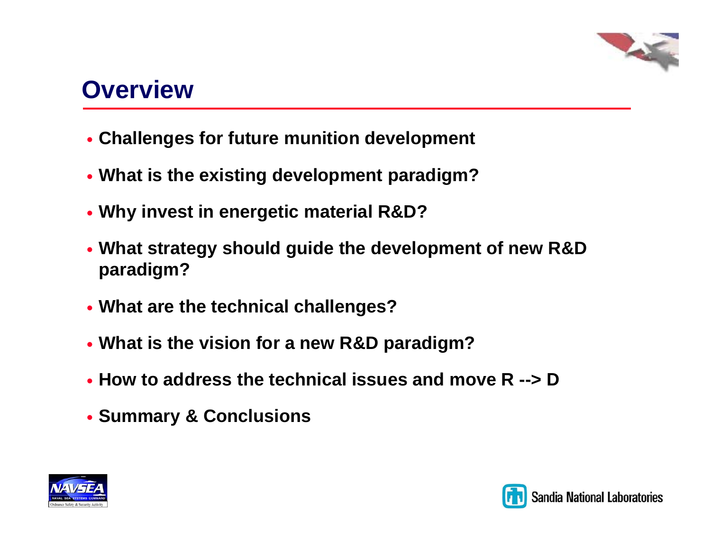

## **Overview**

- y **Challenges for future munition development**
- y **What is the existing development paradigm?**
- y **Why invest in energetic material R&D?**
- y **What strategy should guide the development of new R&D paradigm?**
- **What are the technical challenges?**
- y **What is the vision for a new R&D paradigm?**
- y **How to address the technical issues and move R --> D**
- y **Summary & Conclusions**



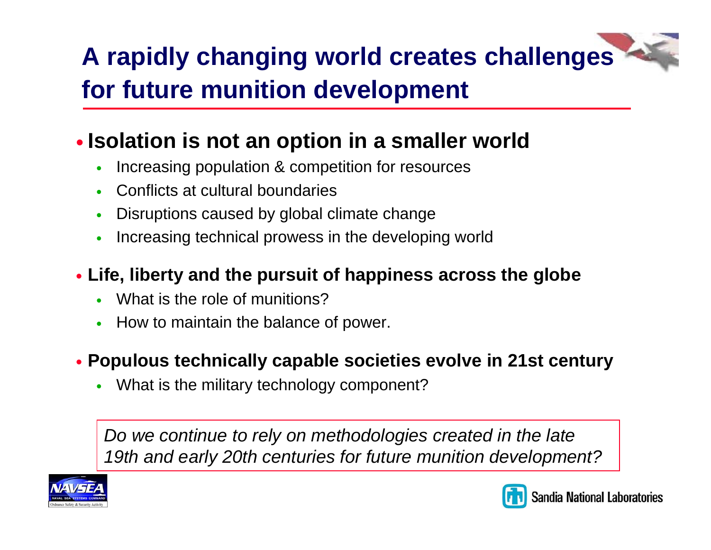# **A rapidly changing world creates challenges for future munition development**

### **. Isolation is not an option in a smaller world**

- $\bullet$ Increasing population & competition for resources
- $\bullet$ Conflicts at cultural boundaries
- $\bullet$ Disruptions caused by global climate change
- $\bullet$ Increasing technical prowess in the developing world
- y **Life, liberty and the pursuit of happiness across the globe**
	- $\bullet$ What is the role of munitions?
	- $\bullet$ How to maintain the balance of power.
- y **Populous technically capable societies evolve in 21st century**
	- $\bullet$ What is the military technology component?

*Do we continue to rely on methodologies created in the late 19th and early 20th centuries for future munition development?*



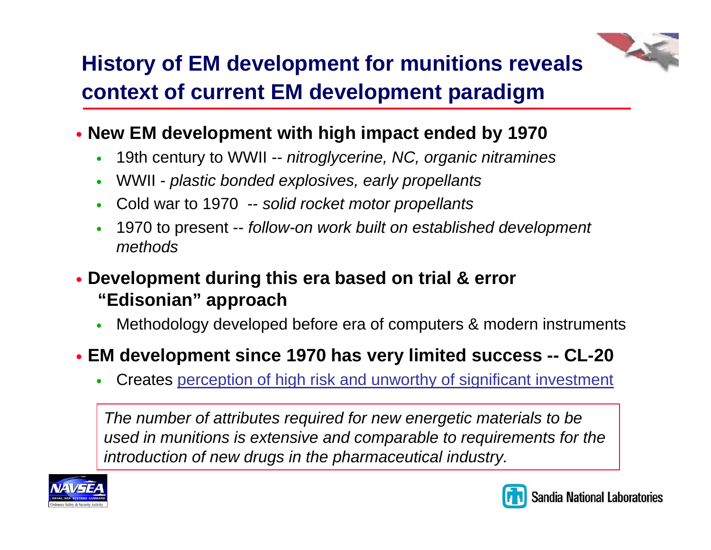# **History of EM development for munitions reveals context of current EM development paradigm**

- **New EM development with high impact ended by 1970** 
	- $\bullet$ 19th century to WWII -- *nitroglycerine, NC, organic nitramines*
	- $\bullet$ WWII - *plastic bonded explosives, early propellants*
	- $\bullet$ Cold war to 1970 -- *solid rocket motor propellants*
	- $\bullet$  1970 to present -- *follow-on work built on established development methods*
- y **Development during this era based on trial & error "Edisonian" approach**
	- $\bullet$ Methodology developed before era of computers & modern instruments
- y **EM development since 1970 has very limited success -- CL-20**
	- $\bullet$ Creates perception of high risk and unworthy of significant investment

*The number of attributes required for new energetic materials to be used in munitions is extensive and comparable to requirements for the introduction of new drugs in the pharmaceutical industry.*



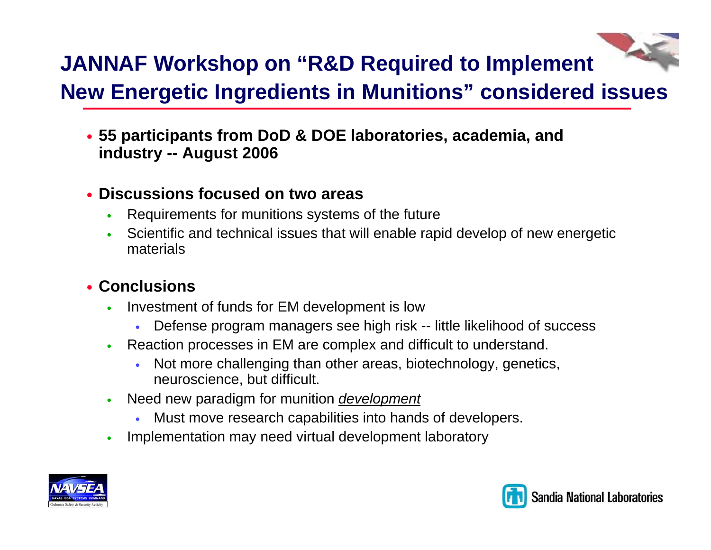### **JANNAF Workshop on "R&D Required to Implement New Energetic Ingredients in Munitions" considered issues**

y **55 participants from DoD & DOE laboratories, academia, and industry -- August 2006**

#### **• Discussions focused on two areas**

- O Requirements for munitions systems of the future
- o Scientific and technical issues that will enable rapid develop of new energetic materials

#### **• Conclusions**

- o Investment of funds for EM development is low
	- yDefense program managers see high risk -- little likelihood of success
- O Reaction processes in EM are complex and difficult to understand.
	- y Not more challenging than other areas, biotechnology, genetics, neuroscience, but difficult.
- o Need new paradigm for munition *development*
	- yMust move research capabilities into hands of developers.
- O Implementation may need virtual development laboratory



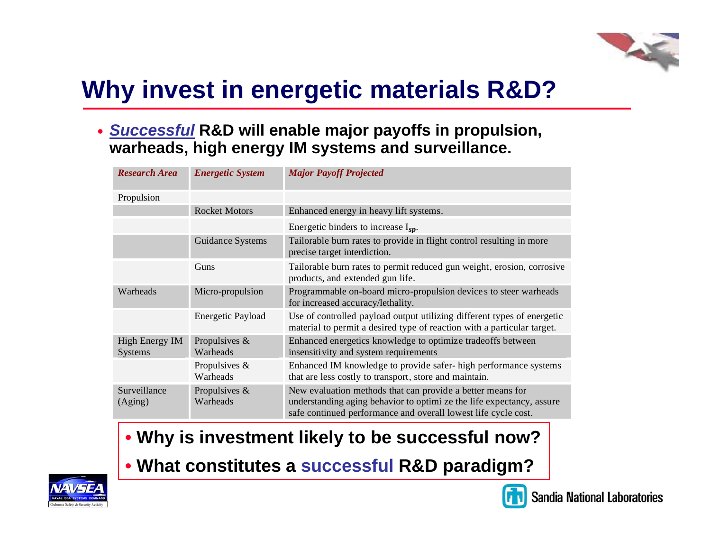## **Why invest in energetic materials R&D?**

y *Successful* **R&D will enable major payoffs in propulsion, warheads, high energy IM systems and surveillance.**

| <b>Research Area</b>                    | <b>Energetic System</b>   | <b>Major Payoff Projected</b>                                                                                                                                                                         |
|-----------------------------------------|---------------------------|-------------------------------------------------------------------------------------------------------------------------------------------------------------------------------------------------------|
| Propulsion                              |                           |                                                                                                                                                                                                       |
|                                         | <b>Rocket Motors</b>      | Enhanced energy in heavy lift systems.                                                                                                                                                                |
|                                         |                           | Energetic binders to increase $I_{sp}$ .                                                                                                                                                              |
|                                         | Guidance Systems          | Tailorable burn rates to provide in flight control resulting in more<br>precise target interdiction.                                                                                                  |
|                                         | Guns                      | Tailorable burn rates to permit reduced gun weight, erosion, corrosive<br>products, and extended gun life.                                                                                            |
| Warheads                                | Micro-propulsion          | Programmable on-board micro-propulsion device s to steer warheads<br>for increased accuracy/lethality.                                                                                                |
|                                         | <b>Energetic Payload</b>  | Use of controlled payload output utilizing different types of energetic<br>material to permit a desired type of reaction with a particular target.                                                    |
| <b>High Energy IM</b><br><b>Systems</b> | Propulsives &<br>Warheads | Enhanced energetics knowledge to optimize tradeoffs between<br>insensitivity and system requirements                                                                                                  |
|                                         | Propulsives &<br>Warheads | Enhanced IM knowledge to provide safer- high performance systems<br>that are less costly to transport, store and maintain.                                                                            |
| Surveillance<br>(Aging)                 | Propulsives &<br>Warheads | New evaluation methods that can provide a better means for<br>understanding aging behavior to optimi ze the life expectancy, assure<br>safe continued performance and overall lowest life cycle cost. |

- **Why is investment likely to be successful now?**
- **What constitutes a successful R&D paradigm?**



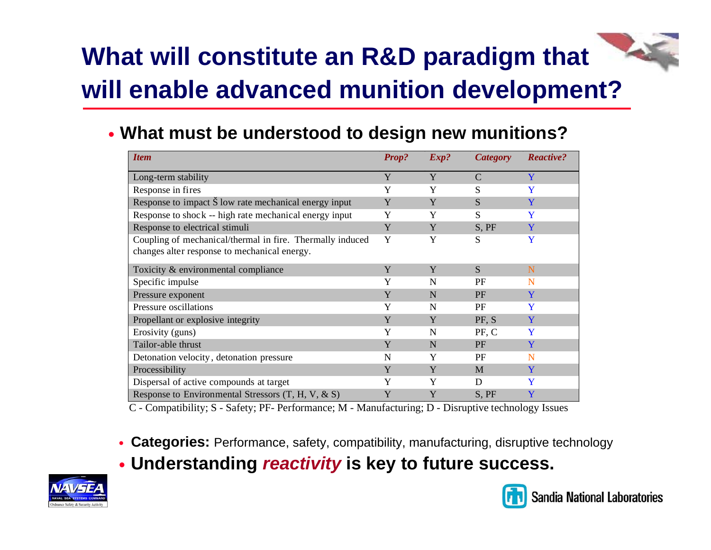# **What will constitute an R&D paradigm that will enable advanced munition development?**

**• What must be understood to design new munitions?** 

| <b>Item</b>                                                     | <b>Prop?</b> | Exp? | <b>Category</b> | <b>Reactive?</b> |
|-----------------------------------------------------------------|--------------|------|-----------------|------------------|
| Long-term stability                                             | Y            | Y    | C               | Y                |
| Response in fires                                               | Y            | Y    | S               | Y                |
| Response to impact $\check{S}$ low rate mechanical energy input | Y            | Y    | S               | Y                |
| Response to shock -- high rate mechanical energy input          | Y            | Y    | S               | Y                |
| Response to electrical stimuli                                  | Y            | Y    | S, PF           | Y                |
| Coupling of mechanical/thermal in fire. Thermally induced       | Y            | Y    | S               | Y                |
| changes alter response to mechanical energy.                    |              |      |                 |                  |
| Toxicity & environmental compliance                             | Y            | Y    | S               | N                |
| Specific impulse                                                | Y            | N    | PF              | N                |
| Pressure exponent                                               | Y            | N    | <b>PF</b>       | Y                |
| Pressure oscillations                                           | Y            | N    | PF              | Y                |
| Propellant or explosive integrity                               | Y            | Y    | PF, S           | Y                |
| Erosivity (guns)                                                | Y            | N    | PF, C           | Y                |
| Tailor-able thrust                                              | Y            | N    | PF              | Y                |
| Detonation velocity, detonation pressure                        | N            | Y    | PF              | N                |
| Processibility                                                  | Y            | Y    | M               | Y                |
| Dispersal of active compounds at target                         | Y            | Y    | D               | Y                |
| Response to Environmental Stressors $(T, H, V, \& S)$           | Y            | Y    | S, PF           | Y                |

C - Compatibility; S - Safety; PF- Performance; M - Manufacturing; D - Disruptive technology Issues

- **Categories:** Performance, safety, compatibility, manufacturing, disruptive technology
- y **Understanding** *reactivity* **is key to future success.**



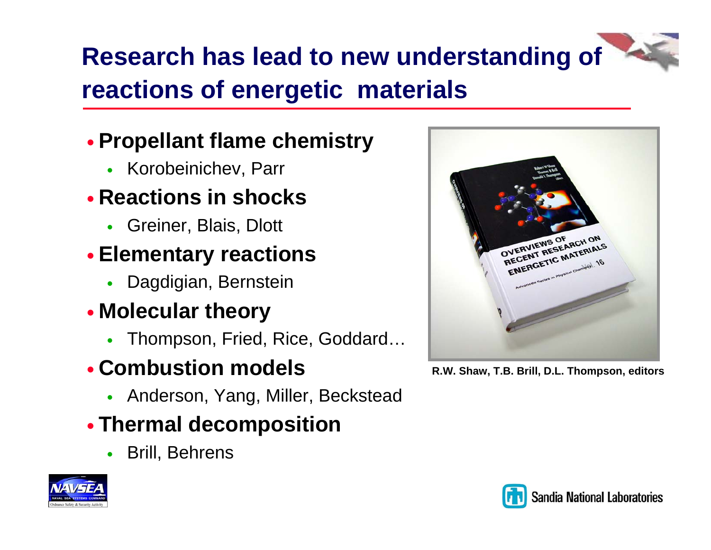# **Research has lead to new understanding of reactions of energetic materials**

### **• Propellant flame chemistry**

 $\bullet$ Korobeinichev, Parr

### **• Reactions in shocks**

 $\bullet$ Greiner, Blais, Dlott

### **• Elementary reactions**

 $\bullet$ Dagdigian, Bernstein

### y **Molecular theory**

 $\bullet$ Thompson, Fried, Rice, Goddard…

### **• Combustion models**

• Anderson, Yang, Miller, Beckstead

### **• Thermal decomposition**

 $\bullet$ Brill, Behrens





**R.W. Shaw, T.B. Brill, D.L. Thompson, editors**

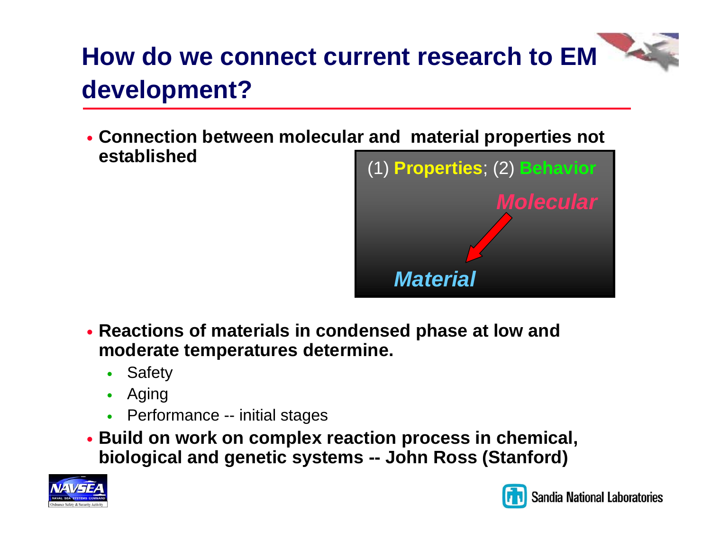# **How do we connect current research to EM development?**

y **Connection between molecular and material properties not established**



- y **Reactions of materials in condensed phase at low and moderate temperatures determine.**
	- $\bullet$ Safety
	- $\bullet$ Aging
	- Performance -- initial stages
- y **Build on work on complex reaction process in chemical, biological and genetic systems -- John Ross (Stanford)**



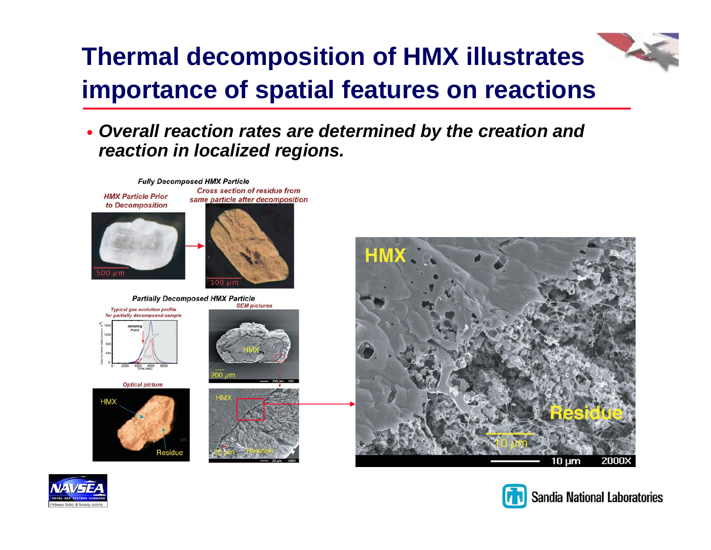## **Thermal decomposition of HMX illustrates importance of spatial features on reactions**

#### y *Overall reaction rates are determined by the creation and reaction in localized regions.*

**Fully Decomposed HMX Particle Cross section of residue from HMX Particle Prior** same particle after decomposition



**Partially Decomposed HMX Particle** 



**Optical picture** 











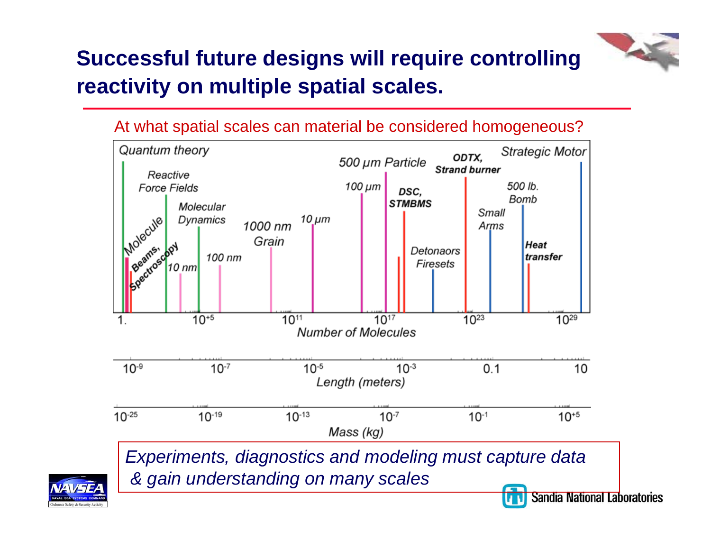### **Successful future designs will require controlling reactivity on multiple spatial scales.**

#### At what spatial scales can material be considered homogeneous?



**Sandia National Laboratories** 

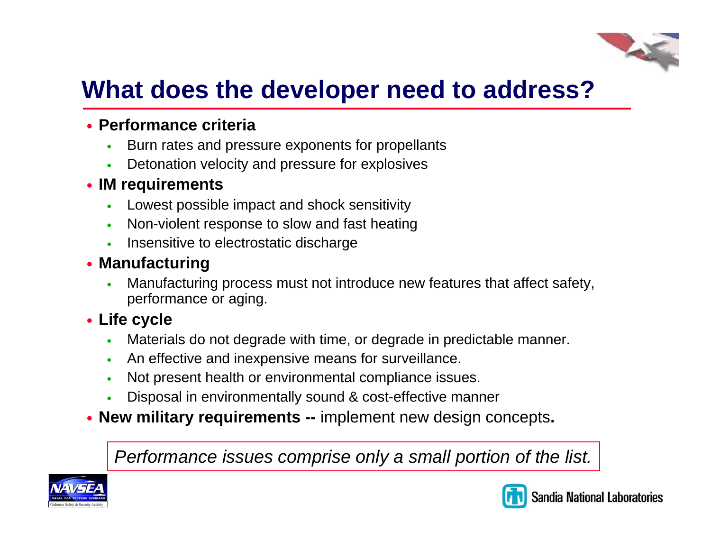### **What does the developer need to address?**

#### **• Performance criteria**

- o Burn rates and pressure exponents for propellants
- $\bullet$ Detonation velocity and pressure for explosives

#### **• IM requirements**

- o Lowest possible impact and shock sensitivity
- $\bullet$ Non-violent response to slow and fast heating
- $\bullet$ Insensitive to electrostatic discharge

#### **• Manufacturing**

O Manufacturing process must not introduce new features that affect safety, performance or aging.

#### **• Life cycle**

- O Materials do not degrade with time, or degrade in predictable manner.
- $\bullet$ An effective and inexpensive means for surveillance.
- $\bullet$ Not present health or environmental compliance issues.
- O Disposal in environmentally sound & cost-effective manner
- **New military requirements --** implement new design concepts.

*Performance issues comprise only a small portion of the list.*



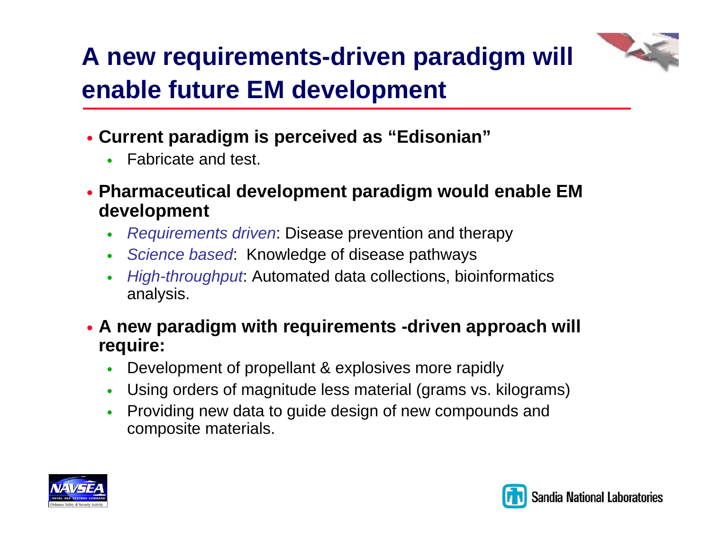# **A new requirements-driven paradigm will enable future EM development**

- y **Current paradigm is perceived as "Edisonian"**
	- $\bullet$ Fabricate and test.
- y **Pharmaceutical development paradigm would enable EM development**
	- $\bullet$ *Requirements driven*: Disease prevention and therapy
	- $\bullet$ *Science based*: Knowledge of disease pathways
	- $\bullet$  *High-throughput*: Automated data collections, bioinformatics analysis.
- y **A new paradigm with requirements -driven approach will require:**
	- $\bullet$ Development of propellant & explosives more rapidly
	- $\bullet$ Using orders of magnitude less material (grams vs. kilograms)
	- $\bullet$  Providing new data to guide design of new compounds and composite materials.



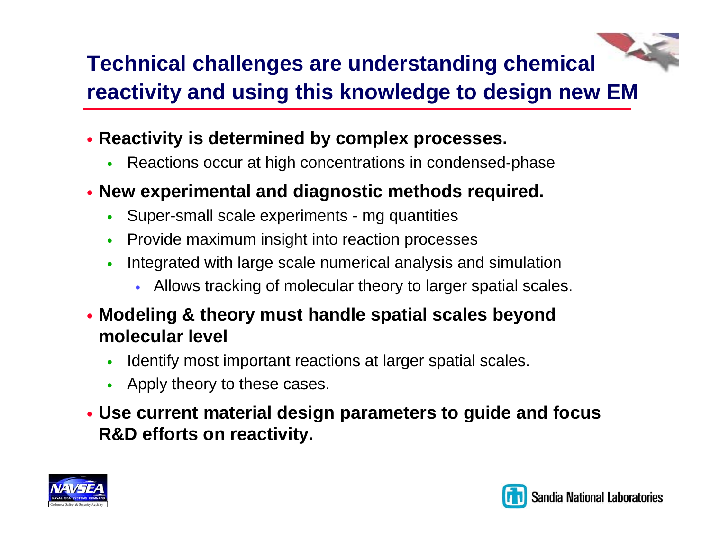### **Technical challenges are understanding chemical reactivity and using this knowledge to design new EM**

- **Reactivity is determined by complex processes.** 
	- $\bullet$ Reactions occur at high concentrations in condensed-phase
- y **New experimental and diagnostic methods required.**
	- $\bullet$ Super-small scale experiments - mg quantities
	- $\bullet$ Provide maximum insight into reaction processes
	- $\bullet$  Integrated with large scale numerical analysis and simulation
		- Allows tracking of molecular theory to larger spatial scales.
- y **Modeling & theory must handle spatial scales beyond molecular level**
	- $\bullet$ Identify most important reactions at larger spatial scales.
	- Apply theory to these cases.
- y **Use current material design parameters to guide and focus R&D efforts on reactivity.**



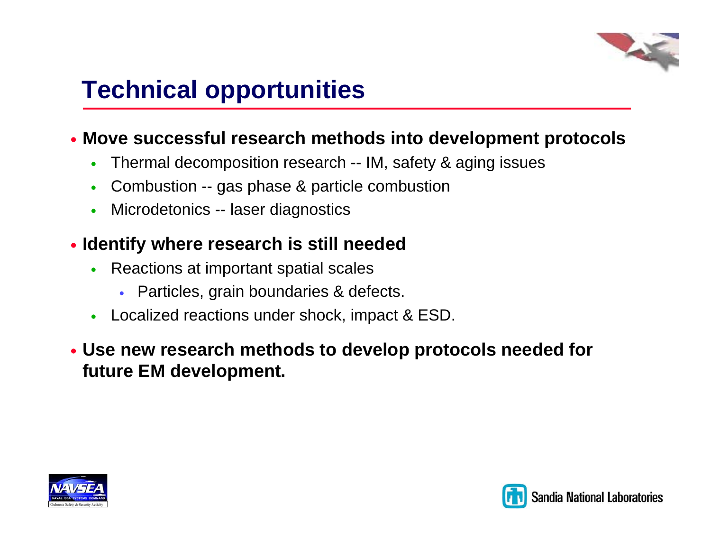

## **Technical opportunities**

#### **• Move successful research methods into development protocols**

- $\bullet$ Thermal decomposition research -- IM, safety & aging issues
- $\bullet$ Combustion -- gas phase & particle combustion
- $\bullet$ Microdetonics -- laser diagnostics

#### **• Identify where research is still needed**

- $\bullet$  Reactions at important spatial scales
	- Particles, grain boundaries & defects.
- Localized reactions under shock, impact & ESD.

#### y **Use new research methods to develop protocols needed for future EM development.**



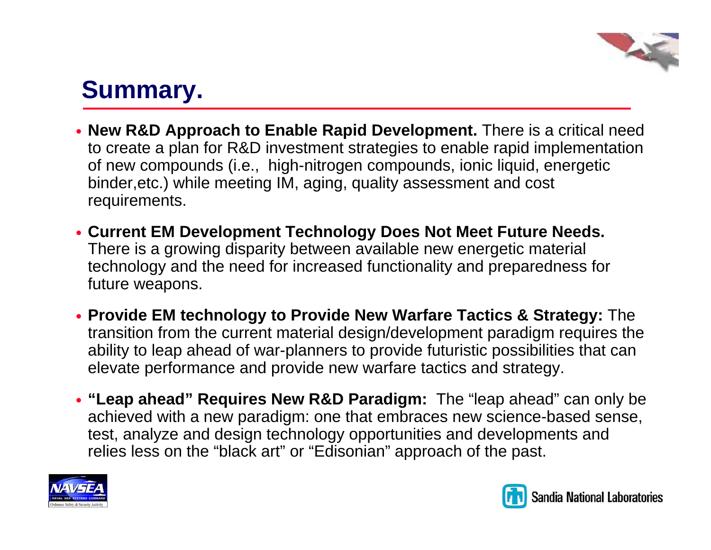## **Summary.**

- **New R&D Approach to Enable Rapid Development.** There is a critical need to create a plan for R&D investment strategies to enable rapid implementation of new compounds (i.e., high-nitrogen compounds, ionic liquid, energetic binder,etc.) while meeting IM, aging, quality assessment and cost requirements.
- **Current EM Development Technology Does Not Meet Future Needs.** There is a growing disparity between available new energetic material technology and the need for increased functionality and preparedness for future weapons.
- y **Provide EM technology to Provide New Warfare Tactics & Strategy:** The transition from the current material design/development paradigm requires the ability to leap ahead of war-planners to provide futuristic possibilities that can elevate performance and provide new warfare tactics and strategy.
- y **"Leap ahead" Requires New R&D Paradigm:** The "leap ahead" can only be achieved with a new paradigm: one that embraces new science-based sense, test, analyze and design technology opportunities and developments and relies less on the "black art" or "Edisonian" approach of the past.



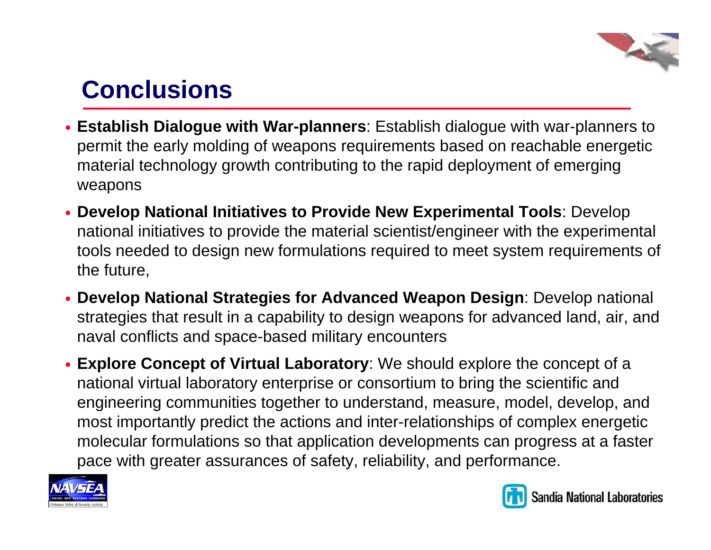

## **Conclusions**

- **Establish Dialogue with War-planners**: Establish dialogue with war-planners to permit the early molding of weapons requirements based on reachable energetic material technology growth contributing to the rapid deployment of emerging weapons
- **Develop National Initiatives to Provide New Experimental Tools**: Develop national initiatives to provide the material scientist/engineer with the experimental tools needed to design new formulations required to meet system requirements of the future,
- **Develop National Strategies for Advanced Weapon Design**: Develop national strategies that result in a capability to design weapons for advanced land, air, and naval conflicts and space-based military encounters
- $\bullet$  **Explore Concept of Virtual Laboratory**: We should explore the concept of a national virtual laboratory enterprise or consortium to bring the scientific and engineering communities together to understand, measure, model, develop, and most importantly predict the actions and inter-relationships of complex energetic molecular formulations so that application developments can progress at a faster pace with greater assurances of safety, reliability, and performance.